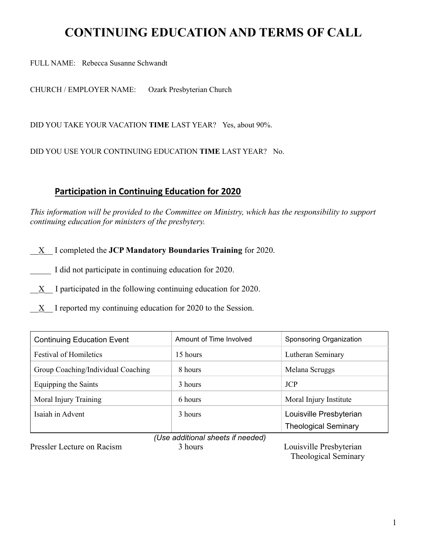# **CONTINUING EDUCATION AND TERMS OF CALL**

FULL NAME: Rebecca Susanne Schwandt

CHURCH / EMPLOYER NAME: Ozark Presbyterian Church

DID YOU TAKE YOUR VACATION **TIME** LAST YEAR? Yes, about 90%.

DID YOU USE YOUR CONTINUING EDUCATION **TIME** LAST YEAR? No.

### **Participation in Continuing Education for 2020**

*This information will be provided to the Committee on Ministry, which has the responsibility to support continuing education for ministers of the presbytery.* 

\_\_X\_\_ I completed the **JCP Mandatory Boundaries Training** for 2020.

I did not participate in continuing education for 2020.

 $\underline{X}$  I participated in the following continuing education for 2020.

X I reported my continuing education for 2020 to the Session.

| <b>Continuing Education Event</b>  | Amount of Time Involved | Sponsoring Organization     |  |  |
|------------------------------------|-------------------------|-----------------------------|--|--|
| <b>Festival of Homiletics</b>      | 15 hours                | Lutheran Seminary           |  |  |
| Group Coaching/Individual Coaching | 8 hours                 | Melana Scruggs              |  |  |
| Equipping the Saints               | 3 hours                 | <b>JCP</b>                  |  |  |
| Moral Injury Training              | 6 hours                 | Moral Injury Institute      |  |  |
| Isaiah in Advent                   | 3 hours                 | Louisville Presbyterian     |  |  |
|                                    |                         | <b>Theological Seminary</b> |  |  |
| (Llea additional chaate if naadad) |                         |                             |  |  |

Pressler Lecture on Racism 3 hours 3 hours Louisville Presbyterian

*(Use additional sheets if needed)*

Theological Seminary